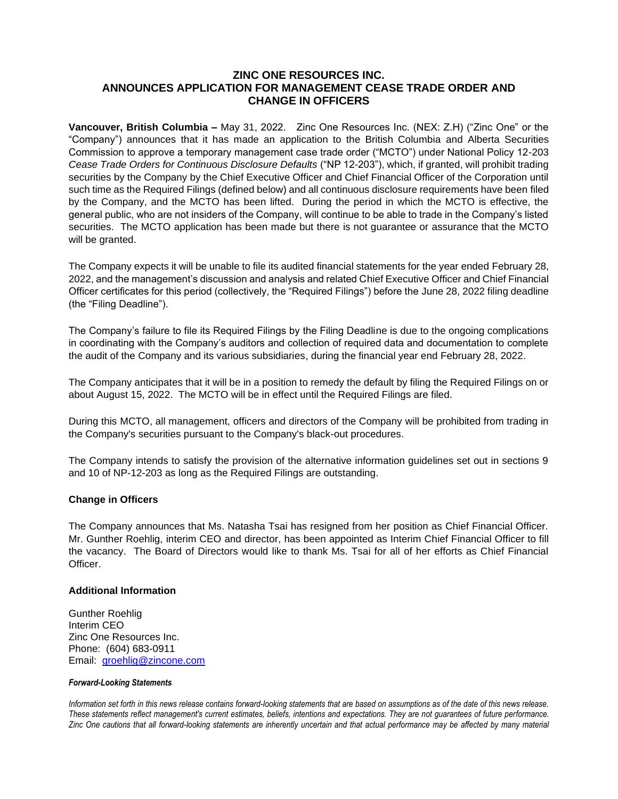## **ZINC ONE RESOURCES INC. ANNOUNCES APPLICATION FOR MANAGEMENT CEASE TRADE ORDER AND CHANGE IN OFFICERS**

**Vancouver, British Columbia –** May 31, 2022. Zinc One Resources Inc. (NEX: Z.H) ("Zinc One" or the "Company") announces that it has made an application to the British Columbia and Alberta Securities Commission to approve a temporary management case trade order ("MCTO") under National Policy 12-203 *Cease Trade Orders for Continuous Disclosure Defaults* ("NP 12-203"), which, if granted, will prohibit trading securities by the Company by the Chief Executive Officer and Chief Financial Officer of the Corporation until such time as the Required Filings (defined below) and all continuous disclosure requirements have been filed by the Company, and the MCTO has been lifted. During the period in which the MCTO is effective, the general public, who are not insiders of the Company, will continue to be able to trade in the Company's listed securities. The MCTO application has been made but there is not guarantee or assurance that the MCTO will be granted.

The Company expects it will be unable to file its audited financial statements for the year ended February 28, 2022, and the management's discussion and analysis and related Chief Executive Officer and Chief Financial Officer certificates for this period (collectively, the "Required Filings") before the June 28, 2022 filing deadline (the "Filing Deadline").

The Company's failure to file its Required Filings by the Filing Deadline is due to the ongoing complications in coordinating with the Company's auditors and collection of required data and documentation to complete the audit of the Company and its various subsidiaries, during the financial year end February 28, 2022.

The Company anticipates that it will be in a position to remedy the default by filing the Required Filings on or about August 15, 2022. The MCTO will be in effect until the Required Filings are filed.

During this MCTO, all management, officers and directors of the Company will be prohibited from trading in the Company's securities pursuant to the Company's black-out procedures.

The Company intends to satisfy the provision of the alternative information guidelines set out in sections 9 and 10 of NP-12-203 as long as the Required Filings are outstanding.

## **Change in Officers**

The Company announces that Ms. Natasha Tsai has resigned from her position as Chief Financial Officer. Mr. Gunther Roehlig, interim CEO and director, has been appointed as Interim Chief Financial Officer to fill the vacancy. The Board of Directors would like to thank Ms. Tsai for all of her efforts as Chief Financial Officer.

## **Additional Information**

Gunther Roehlig Interim CEO Zinc One Resources Inc. Phone: (604) 683-0911 Email: [groehlig@zincone.com](mailto:groehlig@zincone.com)

## *Forward-Looking Statements*

*Information set forth in this news release contains forward-looking statements that are based on assumptions as of the date of this news release. These statements reflect management's current estimates, beliefs, intentions and expectations. They are not guarantees of future performance. Zinc One cautions that all forward-looking statements are inherently uncertain and that actual performance may be affected by many material*